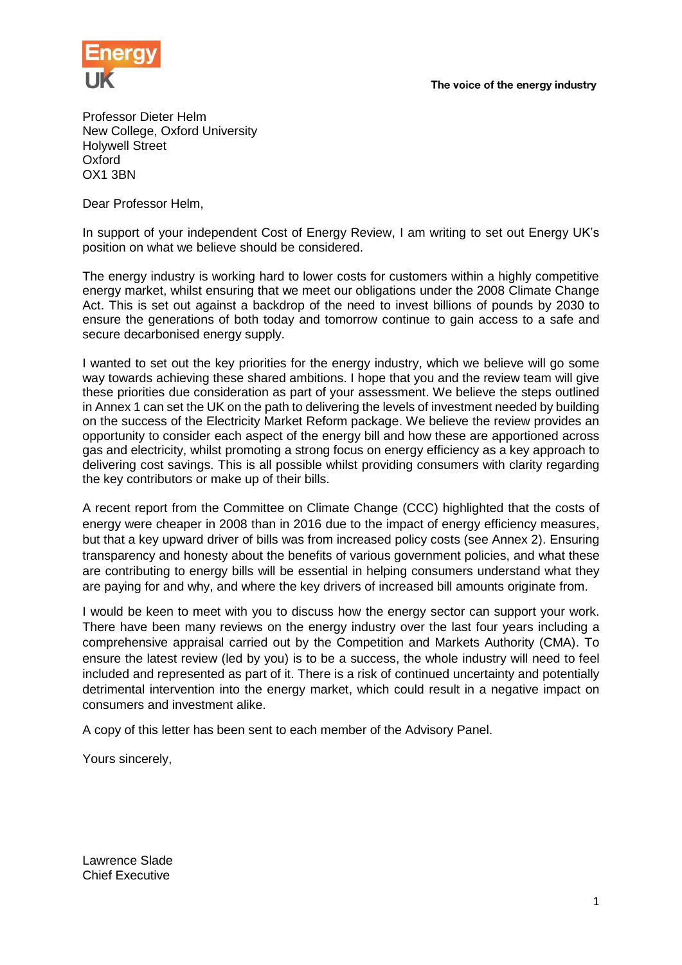The voice of the energy industry



Professor Dieter Helm New College, Oxford University Holywell Street Oxford OX1 3BN

Dear Professor Helm,

In support of your independent Cost of Energy Review, I am writing to set out Energy UK's position on what we believe should be considered.

The energy industry is working hard to lower costs for customers within a highly competitive energy market, whilst ensuring that we meet our obligations under the 2008 Climate Change Act. This is set out against a backdrop of the need to invest billions of pounds by 2030 to ensure the generations of both today and tomorrow continue to gain access to a safe and secure decarbonised energy supply.

I wanted to set out the key priorities for the energy industry, which we believe will go some way towards achieving these shared ambitions. I hope that you and the review team will give these priorities due consideration as part of your assessment. We believe the steps outlined in Annex 1 can set the UK on the path to delivering the levels of investment needed by building on the success of the Electricity Market Reform package. We believe the review provides an opportunity to consider each aspect of the energy bill and how these are apportioned across gas and electricity, whilst promoting a strong focus on energy efficiency as a key approach to delivering cost savings. This is all possible whilst providing consumers with clarity regarding the key contributors or make up of their bills.

A recent report from the Committee on Climate Change (CCC) highlighted that the costs of energy were cheaper in 2008 than in 2016 due to the impact of energy efficiency measures, but that a key upward driver of bills was from increased policy costs (see Annex 2). Ensuring transparency and honesty about the benefits of various government policies, and what these are contributing to energy bills will be essential in helping consumers understand what they are paying for and why, and where the key drivers of increased bill amounts originate from.

I would be keen to meet with you to discuss how the energy sector can support your work. There have been many reviews on the energy industry over the last four years including a comprehensive appraisal carried out by the Competition and Markets Authority (CMA). To ensure the latest review (led by you) is to be a success, the whole industry will need to feel included and represented as part of it. There is a risk of continued uncertainty and potentially detrimental intervention into the energy market, which could result in a negative impact on consumers and investment alike.

A copy of this letter has been sent to each member of the Advisory Panel.

Yours sincerely,

Lawrence Slade Chief Executive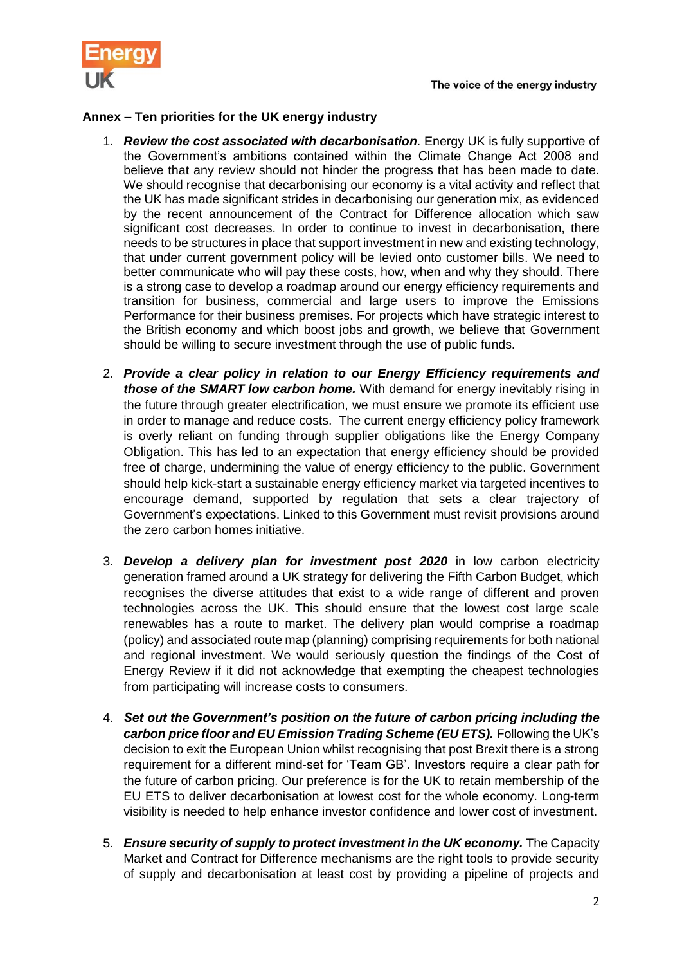



## **Annex – Ten priorities for the UK energy industry**

- 1. *Review the cost associated with decarbonisation*. Energy UK is fully supportive of the Government's ambitions contained within the Climate Change Act 2008 and believe that any review should not hinder the progress that has been made to date. We should recognise that decarbonising our economy is a vital activity and reflect that the UK has made significant strides in decarbonising our generation mix, as evidenced by the recent announcement of the Contract for Difference allocation which saw significant cost decreases. In order to continue to invest in decarbonisation, there needs to be structures in place that support investment in new and existing technology, that under current government policy will be levied onto customer bills. We need to better communicate who will pay these costs, how, when and why they should. There is a strong case to develop a roadmap around our energy efficiency requirements and transition for business, commercial and large users to improve the Emissions Performance for their business premises. For projects which have strategic interest to the British economy and which boost jobs and growth, we believe that Government should be willing to secure investment through the use of public funds.
- 2. *Provide a clear policy in relation to our Energy Efficiency requirements and those of the SMART low carbon home.* With demand for energy inevitably rising in the future through greater electrification, we must ensure we promote its efficient use in order to manage and reduce costs. The current energy efficiency policy framework is overly reliant on funding through supplier obligations like the Energy Company Obligation. This has led to an expectation that energy efficiency should be provided free of charge, undermining the value of energy efficiency to the public. Government should help kick-start a sustainable energy efficiency market via targeted incentives to encourage demand, supported by regulation that sets a clear trajectory of Government's expectations. Linked to this Government must revisit provisions around the zero carbon homes initiative.
- 3. *Develop a delivery plan for investment post 2020* in low carbon electricity generation framed around a UK strategy for delivering the Fifth Carbon Budget, which recognises the diverse attitudes that exist to a wide range of different and proven technologies across the UK. This should ensure that the lowest cost large scale renewables has a route to market. The delivery plan would comprise a roadmap (policy) and associated route map (planning) comprising requirements for both national and regional investment. We would seriously question the findings of the Cost of Energy Review if it did not acknowledge that exempting the cheapest technologies from participating will increase costs to consumers.
- 4. *Set out the Government's position on the future of carbon pricing including the carbon price floor and EU Emission Trading Scheme (EU ETS).* Following the UK's decision to exit the European Union whilst recognising that post Brexit there is a strong requirement for a different mind-set for 'Team GB'. Investors require a clear path for the future of carbon pricing. Our preference is for the UK to retain membership of the EU ETS to deliver decarbonisation at lowest cost for the whole economy. Long-term visibility is needed to help enhance investor confidence and lower cost of investment.
- 5. *Ensure security of supply to protect investment in the UK economy.* The Capacity Market and Contract for Difference mechanisms are the right tools to provide security of supply and decarbonisation at least cost by providing a pipeline of projects and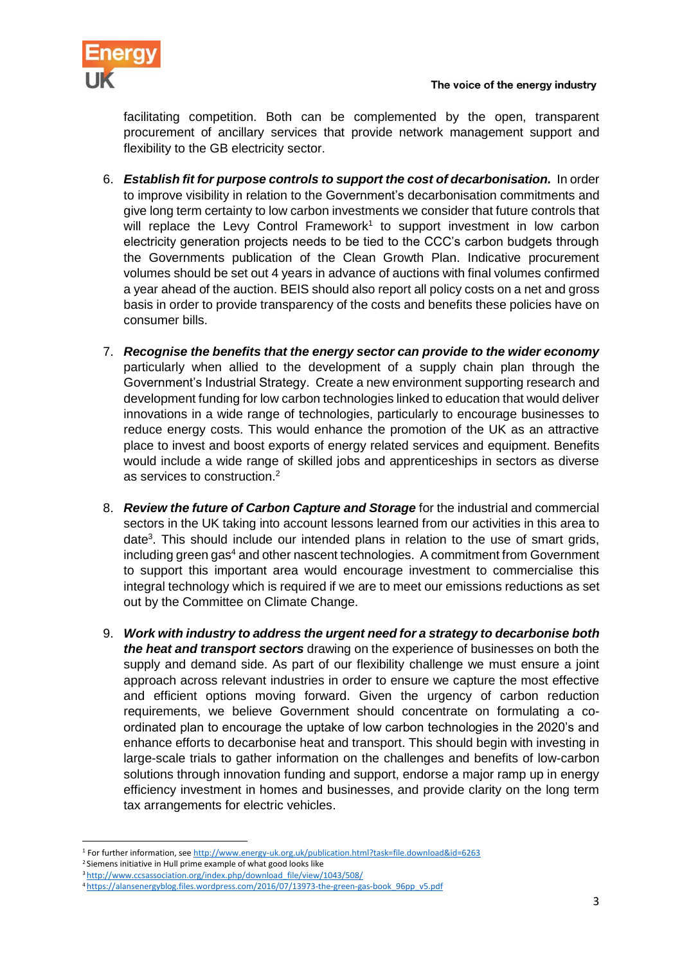

facilitating competition. Both can be complemented by the open, transparent procurement of ancillary services that provide network management support and flexibility to the GB electricity sector.

- 6. *Establish fit for purpose controls to support the cost of decarbonisation.* In order to improve visibility in relation to the Government's decarbonisation commitments and give long term certainty to low carbon investments we consider that future controls that will replace the Levy Control Framework<sup>1</sup> to support investment in low carbon electricity generation projects needs to be tied to the CCC's carbon budgets through the Governments publication of the Clean Growth Plan. Indicative procurement volumes should be set out 4 years in advance of auctions with final volumes confirmed a year ahead of the auction. BEIS should also report all policy costs on a net and gross basis in order to provide transparency of the costs and benefits these policies have on consumer bills.
- 7. *Recognise the benefits that the energy sector can provide to the wider economy* particularly when allied to the development of a supply chain plan through the Government's Industrial Strategy. Create a new environment supporting research and development funding for low carbon technologies linked to education that would deliver innovations in a wide range of technologies, particularly to encourage businesses to reduce energy costs. This would enhance the promotion of the UK as an attractive place to invest and boost exports of energy related services and equipment. Benefits would include a wide range of skilled jobs and apprenticeships in sectors as diverse as services to construction.<sup>2</sup>
- 8. *Review the future of Carbon Capture and Storage* for the industrial and commercial sectors in the UK taking into account lessons learned from our activities in this area to date<sup>3</sup>. This should include our intended plans in relation to the use of smart grids, including green gas<sup>4</sup> and other nascent technologies. A commitment from Government to support this important area would encourage investment to commercialise this integral technology which is required if we are to meet our emissions reductions as set out by the Committee on Climate Change.
- 9. *Work with industry to address the urgent need for a strategy to decarbonise both the heat and transport sectors* drawing on the experience of businesses on both the supply and demand side. As part of our flexibility challenge we must ensure a joint approach across relevant industries in order to ensure we capture the most effective and efficient options moving forward. Given the urgency of carbon reduction requirements, we believe Government should concentrate on formulating a coordinated plan to encourage the uptake of low carbon technologies in the 2020's and enhance efforts to decarbonise heat and transport. This should begin with investing in large-scale trials to gather information on the challenges and benefits of low-carbon solutions through innovation funding and support, endorse a major ramp up in energy efficiency investment in homes and businesses, and provide clarity on the long term tax arrangements for electric vehicles.

 $\overline{a}$ <sup>1</sup> For further information, se[e http://www.energy-uk.org.uk/publication.html?task=file.download&id=6263](http://www.energy-uk.org.uk/publication.html?task=file.download&id=6263)

<sup>2</sup> Siemens initiative in Hull prime example of what good looks like

<sup>3</sup> [http://www.ccsassociation.org/index.php/download\\_file/view/1043/508/](http://www.ccsassociation.org/index.php/download_file/view/1043/508/)

<sup>4</sup> [https://alansenergyblog.files.wordpress.com/2016/07/13973-the-green-gas-book\\_96pp\\_v5.pdf](https://alansenergyblog.files.wordpress.com/2016/07/13973-the-green-gas-book_96pp_v5.pdf)